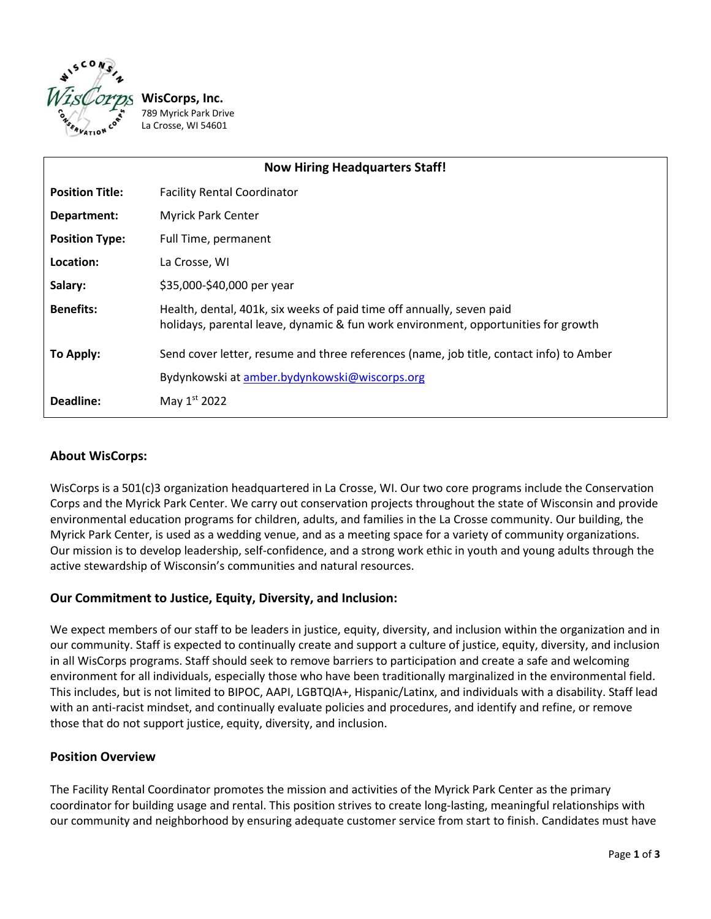

/8<br>La **WisCorps, Inc.** 789 Myrick Park Drive La Crosse, WI 54601

| <b>Now Hiring Headquarters Staff!</b> |                                                                                                                                                             |
|---------------------------------------|-------------------------------------------------------------------------------------------------------------------------------------------------------------|
| <b>Position Title:</b>                | <b>Facility Rental Coordinator</b>                                                                                                                          |
| Department:                           | <b>Myrick Park Center</b>                                                                                                                                   |
| <b>Position Type:</b>                 | Full Time, permanent                                                                                                                                        |
| Location:                             | La Crosse, WI                                                                                                                                               |
| Salary:                               | \$35,000-\$40,000 per year                                                                                                                                  |
| <b>Benefits:</b>                      | Health, dental, 401k, six weeks of paid time off annually, seven paid<br>holidays, parental leave, dynamic & fun work environment, opportunities for growth |
| To Apply:                             | Send cover letter, resume and three references (name, job title, contact info) to Amber                                                                     |
|                                       | Bydynkowski at amber.bydynkowski@wiscorps.org                                                                                                               |
| Deadline:                             | May 1st 2022                                                                                                                                                |

## **About WisCorps:**

WisCorps is a 501(c)3 organization headquartered in La Crosse, WI. Our two core programs include the Conservation Corps and the Myrick Park Center. We carry out conservation projects throughout the state of Wisconsin and provide environmental education programs for children, adults, and families in the La Crosse community. Our building, the Myrick Park Center, is used as a wedding venue, and as a meeting space for a variety of community organizations. Our mission is to develop leadership, self-confidence, and a strong work ethic in youth and young adults through the active stewardship of Wisconsin's communities and natural resources.

# **Our Commitment to Justice, Equity, Diversity, and Inclusion:**

We expect members of our staff to be leaders in justice, equity, diversity, and inclusion within the organization and in our community. Staff is expected to continually create and support a culture of justice, equity, diversity, and inclusion in all WisCorps programs. Staff should seek to remove barriers to participation and create a safe and welcoming environment for all individuals, especially those who have been traditionally marginalized in the environmental field. This includes, but is not limited to BIPOC, AAPI, LGBTQIA+, Hispanic/Latinx, and individuals with a disability. Staff lead with an anti-racist mindset, and continually evaluate policies and procedures, and identify and refine, or remove those that do not support justice, equity, diversity, and inclusion.

## **Position Overview**

The Facility Rental Coordinator promotes the mission and activities of the Myrick Park Center as the primary coordinator for building usage and rental. This position strives to create long-lasting, meaningful relationships with our community and neighborhood by ensuring adequate customer service from start to finish. Candidates must have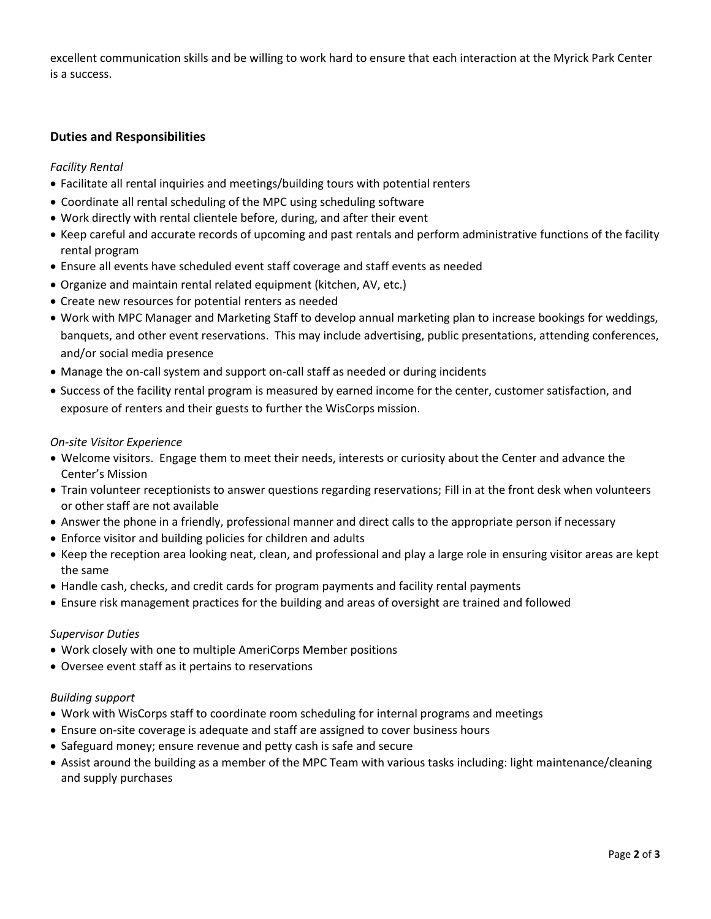excellent communication skills and be willing to work hard to ensure that each interaction at the Myrick Park Center is a success.

## **Duties and Responsibilities**

#### *Facility Rental*

- Facilitate all rental inquiries and meetings/building tours with potential renters
- Coordinate all rental scheduling of the MPC using scheduling software
- Work directly with rental clientele before, during, and after their event
- Keep careful and accurate records of upcoming and past rentals and perform administrative functions of the facility rental program
- Ensure all events have scheduled event staff coverage and staff events as needed
- Organize and maintain rental related equipment (kitchen, AV, etc.)
- Create new resources for potential renters as needed
- Work with MPC Manager and Marketing Staff to develop annual marketing plan to increase bookings for weddings, banquets, and other event reservations. This may include advertising, public presentations, attending conferences, and/or social media presence
- Manage the on-call system and support on-call staff as needed or during incidents
- Success of the facility rental program is measured by earned income for the center, customer satisfaction, and exposure of renters and their guests to further the WisCorps mission.

#### *On-site Visitor Experience*

- Welcome visitors. Engage them to meet their needs, interests or curiosity about the Center and advance the Center's Mission
- Train volunteer receptionists to answer questions regarding reservations; Fill in at the front desk when volunteers or other staff are not available
- Answer the phone in a friendly, professional manner and direct calls to the appropriate person if necessary
- Enforce visitor and building policies for children and adults
- Keep the reception area looking neat, clean, and professional and play a large role in ensuring visitor areas are kept the same
- Handle cash, checks, and credit cards for program payments and facility rental payments
- Ensure risk management practices for the building and areas of oversight are trained and followed

#### *Supervisor Duties*

- Work closely with one to multiple AmeriCorps Member positions
- Oversee event staff as it pertains to reservations

#### *Building support*

- Work with WisCorps staff to coordinate room scheduling for internal programs and meetings
- Ensure on-site coverage is adequate and staff are assigned to cover business hours
- Safeguard money; ensure revenue and petty cash is safe and secure
- Assist around the building as a member of the MPC Team with various tasks including: light maintenance/cleaning and supply purchases